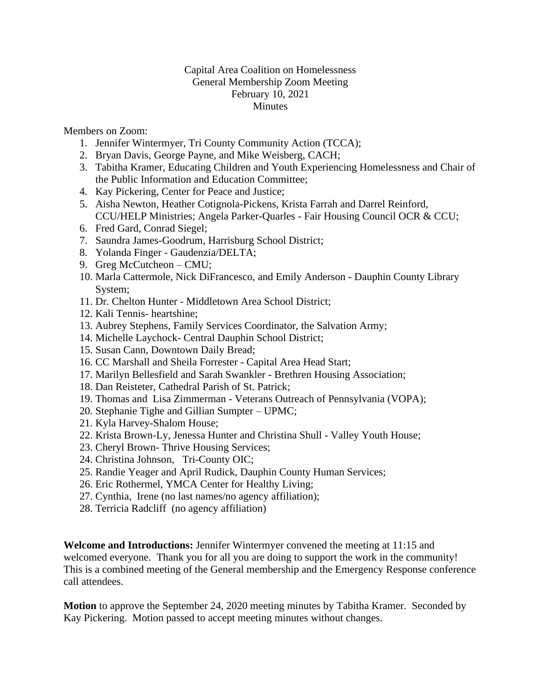## Capital Area Coalition on Homelessness General Membership Zoom Meeting February 10, 2021 Minutes

Members on Zoom:

- 1. Jennifer Wintermyer, Tri County Community Action (TCCA);
- 2. Bryan Davis, George Payne, and Mike Weisberg, CACH;
- 3. Tabitha Kramer, Educating Children and Youth Experiencing Homelessness and Chair of the Public Information and Education Committee;
- 4. Kay Pickering, Center for Peace and Justice;
- 5. Aisha Newton, Heather Cotignola-Pickens, Krista Farrah and Darrel Reinford, CCU/HELP Ministries; Angela Parker-Quarles - Fair Housing Council OCR & CCU;
- 6. Fred Gard, Conrad Siegel;
- 7. Saundra James-Goodrum, Harrisburg School District;
- 8. Yolanda Finger Gaudenzia/DELTA;
- 9. Greg McCutcheon CMU;
- 10. Marla Cattermole, Nick DiFrancesco, and Emily Anderson Dauphin County Library System;
- 11. Dr. Chelton Hunter Middletown Area School District;
- 12. Kali Tennis- heartshine;
- 13. Aubrey Stephens, Family Services Coordinator, the Salvation Army;
- 14. Michelle Laychock- Central Dauphin School District;
- 15. Susan Cann, Downtown Daily Bread;
- 16. CC Marshall and Sheila Forrester Capital Area Head Start;
- 17. Marilyn Bellesfield and Sarah Swankler Brethren Housing Association;
- 18. Dan Reisteter, Cathedral Parish of St. Patrick;
- 19. Thomas and Lisa Zimmerman Veterans Outreach of Pennsylvania (VOPA);
- 20. Stephanie Tighe and Gillian Sumpter UPMC;
- 21. Kyla Harvey-Shalom House;
- 22. Krista Brown-Ly, Jenessa Hunter and Christina Shull Valley Youth House;
- 23. Cheryl Brown- Thrive Housing Services;
- 24. Christina Johnson, Tri-County OIC;
- 25. Randie Yeager and April Rudick, Dauphin County Human Services;
- 26. Eric Rothermel, YMCA Center for Healthy Living;
- 27. Cynthia, Irene (no last names/no agency affiliation);
- 28. Terricia Radcliff (no agency affiliation)

**Welcome and Introductions:** Jennifer Wintermyer convened the meeting at 11:15 and welcomed everyone. Thank you for all you are doing to support the work in the community! This is a combined meeting of the General membership and the Emergency Response conference call attendees.

**Motion** to approve the September 24, 2020 meeting minutes by Tabitha Kramer. Seconded by Kay Pickering. Motion passed to accept meeting minutes without changes.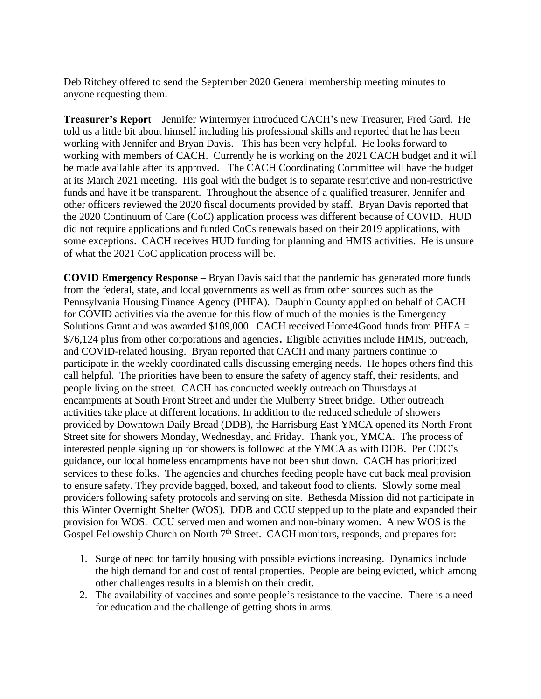Deb Ritchey offered to send the September 2020 General membership meeting minutes to anyone requesting them.

**Treasurer's Report** – Jennifer Wintermyer introduced CACH's new Treasurer, Fred Gard. He told us a little bit about himself including his professional skills and reported that he has been working with Jennifer and Bryan Davis. This has been very helpful. He looks forward to working with members of CACH. Currently he is working on the 2021 CACH budget and it will be made available after its approved. The CACH Coordinating Committee will have the budget at its March 2021 meeting. His goal with the budget is to separate restrictive and non-restrictive funds and have it be transparent. Throughout the absence of a qualified treasurer, Jennifer and other officers reviewed the 2020 fiscal documents provided by staff. Bryan Davis reported that the 2020 Continuum of Care (CoC) application process was different because of COVID. HUD did not require applications and funded CoCs renewals based on their 2019 applications, with some exceptions. CACH receives HUD funding for planning and HMIS activities. He is unsure of what the 2021 CoC application process will be.

**COVID Emergency Response –** Bryan Davis said that the pandemic has generated more funds from the federal, state, and local governments as well as from other sources such as the Pennsylvania Housing Finance Agency (PHFA). Dauphin County applied on behalf of CACH for COVID activities via the avenue for this flow of much of the monies is the Emergency Solutions Grant and was awarded \$109,000. CACH received Home4Good funds from PHFA = \$76,124 plus from other corporations and agencies. Eligible activities include HMIS, outreach, and COVID-related housing. Bryan reported that CACH and many partners continue to participate in the weekly coordinated calls discussing emerging needs. He hopes others find this call helpful. The priorities have been to ensure the safety of agency staff, their residents, and people living on the street. CACH has conducted weekly outreach on Thursdays at encampments at South Front Street and under the Mulberry Street bridge. Other outreach activities take place at different locations. In addition to the reduced schedule of showers provided by Downtown Daily Bread (DDB), the Harrisburg East YMCA opened its North Front Street site for showers Monday, Wednesday, and Friday. Thank you, YMCA. The process of interested people signing up for showers is followed at the YMCA as with DDB. Per CDC's guidance, our local homeless encampments have not been shut down. CACH has prioritized services to these folks. The agencies and churches feeding people have cut back meal provision to ensure safety. They provide bagged, boxed, and takeout food to clients. Slowly some meal providers following safety protocols and serving on site. Bethesda Mission did not participate in this Winter Overnight Shelter (WOS). DDB and CCU stepped up to the plate and expanded their provision for WOS. CCU served men and women and non-binary women. A new WOS is the Gospel Fellowship Church on North  $7<sup>th</sup>$  Street. CACH monitors, responds, and prepares for:

- 1. Surge of need for family housing with possible evictions increasing. Dynamics include the high demand for and cost of rental properties. People are being evicted, which among other challenges results in a blemish on their credit.
- 2. The availability of vaccines and some people's resistance to the vaccine. There is a need for education and the challenge of getting shots in arms.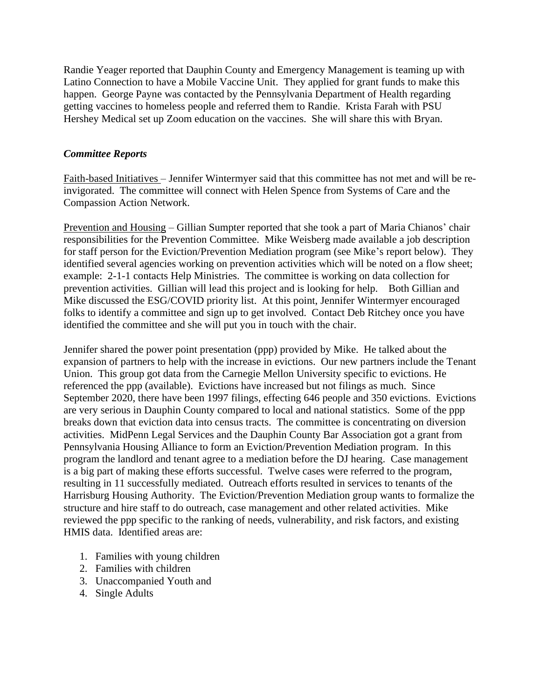Randie Yeager reported that Dauphin County and Emergency Management is teaming up with Latino Connection to have a Mobile Vaccine Unit. They applied for grant funds to make this happen. George Payne was contacted by the Pennsylvania Department of Health regarding getting vaccines to homeless people and referred them to Randie. Krista Farah with PSU Hershey Medical set up Zoom education on the vaccines. She will share this with Bryan.

## *Committee Reports*

Faith-based Initiatives – Jennifer Wintermyer said that this committee has not met and will be reinvigorated. The committee will connect with Helen Spence from Systems of Care and the Compassion Action Network.

Prevention and Housing – Gillian Sumpter reported that she took a part of Maria Chianos' chair responsibilities for the Prevention Committee. Mike Weisberg made available a job description for staff person for the Eviction/Prevention Mediation program (see Mike's report below). They identified several agencies working on prevention activities which will be noted on a flow sheet; example: 2-1-1 contacts Help Ministries. The committee is working on data collection for prevention activities. Gillian will lead this project and is looking for help. Both Gillian and Mike discussed the ESG/COVID priority list. At this point, Jennifer Wintermyer encouraged folks to identify a committee and sign up to get involved. Contact Deb Ritchey once you have identified the committee and she will put you in touch with the chair.

Jennifer shared the power point presentation (ppp) provided by Mike. He talked about the expansion of partners to help with the increase in evictions. Our new partners include the Tenant Union. This group got data from the Carnegie Mellon University specific to evictions. He referenced the ppp (available). Evictions have increased but not filings as much. Since September 2020, there have been 1997 filings, effecting 646 people and 350 evictions. Evictions are very serious in Dauphin County compared to local and national statistics. Some of the ppp breaks down that eviction data into census tracts. The committee is concentrating on diversion activities. MidPenn Legal Services and the Dauphin County Bar Association got a grant from Pennsylvania Housing Alliance to form an Eviction/Prevention Mediation program. In this program the landlord and tenant agree to a mediation before the DJ hearing. Case management is a big part of making these efforts successful. Twelve cases were referred to the program, resulting in 11 successfully mediated. Outreach efforts resulted in services to tenants of the Harrisburg Housing Authority. The Eviction/Prevention Mediation group wants to formalize the structure and hire staff to do outreach, case management and other related activities. Mike reviewed the ppp specific to the ranking of needs, vulnerability, and risk factors, and existing HMIS data. Identified areas are:

- 1. Families with young children
- 2. Families with children
- 3. Unaccompanied Youth and
- 4. Single Adults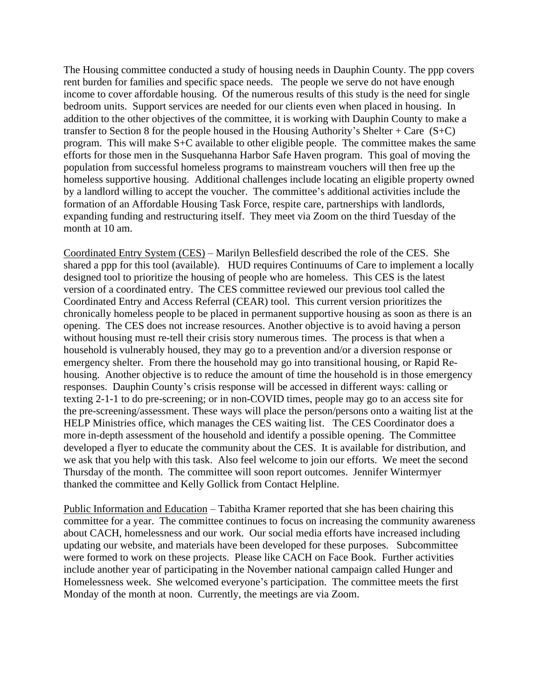The Housing committee conducted a study of housing needs in Dauphin County. The ppp covers rent burden for families and specific space needs. The people we serve do not have enough income to cover affordable housing. Of the numerous results of this study is the need for single bedroom units. Support services are needed for our clients even when placed in housing. In addition to the other objectives of the committee, it is working with Dauphin County to make a transfer to Section 8 for the people housed in the Housing Authority's Shelter + Care  $(S+C)$ program. This will make S+C available to other eligible people. The committee makes the same efforts for those men in the Susquehanna Harbor Safe Haven program. This goal of moving the population from successful homeless programs to mainstream vouchers will then free up the homeless supportive housing. Additional challenges include locating an eligible property owned by a landlord willing to accept the voucher. The committee's additional activities include the formation of an Affordable Housing Task Force, respite care, partnerships with landlords, expanding funding and restructuring itself. They meet via Zoom on the third Tuesday of the month at 10 am.

Coordinated Entry System (CES) – Marilyn Bellesfield described the role of the CES. She shared a ppp for this tool (available). HUD requires Continuums of Care to implement a locally designed tool to prioritize the housing of people who are homeless. This CES is the latest version of a coordinated entry. The CES committee reviewed our previous tool called the Coordinated Entry and Access Referral (CEAR) tool. This current version prioritizes the chronically homeless people to be placed in permanent supportive housing as soon as there is an opening. The CES does not increase resources. Another objective is to avoid having a person without housing must re-tell their crisis story numerous times. The process is that when a household is vulnerably housed, they may go to a prevention and/or a diversion response or emergency shelter. From there the household may go into transitional housing, or Rapid Rehousing. Another objective is to reduce the amount of time the household is in those emergency responses. Dauphin County's crisis response will be accessed in different ways: calling or texting 2-1-1 to do pre-screening; or in non-COVID times, people may go to an access site for the pre-screening/assessment. These ways will place the person/persons onto a waiting list at the HELP Ministries office, which manages the CES waiting list. The CES Coordinator does a more in-depth assessment of the household and identify a possible opening. The Committee developed a flyer to educate the community about the CES. It is available for distribution, and we ask that you help with this task. Also feel welcome to join our efforts. We meet the second Thursday of the month. The committee will soon report outcomes. Jennifer Wintermyer thanked the committee and Kelly Gollick from Contact Helpline.

Public Information and Education – Tabitha Kramer reported that she has been chairing this committee for a year. The committee continues to focus on increasing the community awareness about CACH, homelessness and our work. Our social media efforts have increased including updating our website, and materials have been developed for these purposes. Subcommittee were formed to work on these projects. Please like CACH on Face Book. Further activities include another year of participating in the November national campaign called Hunger and Homelessness week. She welcomed everyone's participation. The committee meets the first Monday of the month at noon. Currently, the meetings are via Zoom.